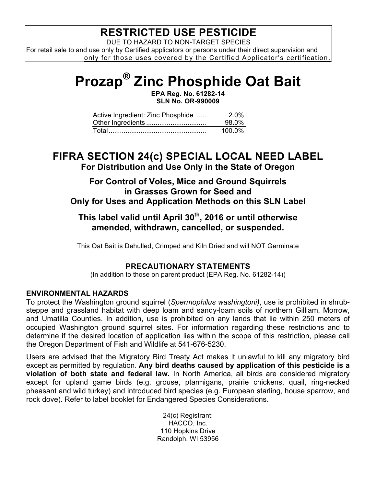# **RESTRICTED USE PESTICIDE**

DUE TO HAZARD TO NON-TARGET SPECIES For retail sale to and use only by Certified applicators or persons under their direct supervision and only for those uses covered by the Certified Applicator's certification.

# **Prozap® Zinc Phosphide Oat Bait**

**EPA Reg. No. 61282-14 SLN No. OR-990009**

| Active Ingredient: Zinc Phosphide | 2.0%      |
|-----------------------------------|-----------|
|                                   | 98.0%     |
|                                   | $100.0\%$ |

## **FIFRA SECTION 24(c) SPECIAL LOCAL NEED LABEL For Distribution and Use Only in the State of Oregon**

#### **For Control of Voles, Mice and Ground Squirrels in Grasses Grown for Seed and Only for Uses and Application Methods on this SLN Label**

### **This label valid until April 30th, 2016 or until otherwise amended, withdrawn, cancelled, or suspended.**

This Oat Bait is Dehulled, Crimped and Kiln Dried and will NOT Germinate

#### **PRECAUTIONARY STATEMENTS**

(In addition to those on parent product (EPA Reg. No. 61282-14))

#### **ENVIRONMENTAL HAZARDS**

To protect the Washington ground squirrel (*Spermophilus washingtoni)*, use is prohibited in shrubsteppe and grassland habitat with deep loam and sandy-loam soils of northern Gilliam, Morrow, and Umatilla Counties. In addition, use is prohibited on any lands that lie within 250 meters of occupied Washington ground squirrel sites. For information regarding these restrictions and to determine if the desired location of application lies within the scope of this restriction, please call the Oregon Department of Fish and Wildlife at 541-676-5230.

Users are advised that the Migratory Bird Treaty Act makes it unlawful to kill any migratory bird except as permitted by regulation. **Any bird deaths caused by application of this pesticide is a violation of both state and federal law.** In North America, all birds are considered migratory except for upland game birds (e.g. grouse, ptarmigans, prairie chickens, quail, ring-necked pheasant and wild turkey) and introduced bird species (e.g. European starling, house sparrow, and rock dove). Refer to label booklet for Endangered Species Considerations.

> 24(c) Registrant: HACCO, Inc. 110 Hopkins Drive Randolph, WI 53956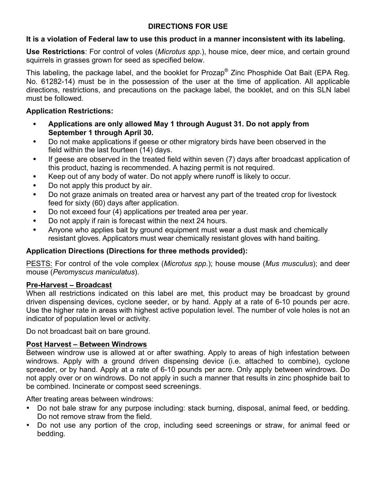#### **DIRECTIONS FOR USE**

#### **It is a violation of Federal law to use this product in a manner inconsistent with its labeling.**

**Use Restrictions**: For control of voles (*Microtus spp*.), house mice, deer mice, and certain ground squirrels in grasses grown for seed as specified below.

This labeling, the package label, and the booklet for Prozap<sup>®</sup> Zinc Phosphide Oat Bait (EPA Reg. No. 61282-14) must be in the possession of the user at the time of application. All applicable directions, restrictions, and precautions on the package label, the booklet, and on this SLN label must be followed.

#### **Application Restrictions:**

- **Applications are only allowed May 1 through August 31. Do not apply from September 1 through April 30.**
- Do not make applications if geese or other migratory birds have been observed in the field within the last fourteen (14) days.
- If geese are observed in the treated field within seven (7) days after broadcast application of this product, hazing is recommended. A hazing permit is not required.
- Keep out of any body of water. Do not apply where runoff is likely to occur.
- Do not apply this product by air.
- Do not graze animals on treated area or harvest any part of the treated crop for livestock feed for sixty (60) days after application.
- Do not exceed four (4) applications per treated area per year.
- Do not apply if rain is forecast within the next 24 hours.
- Anyone who applies bait by ground equipment must wear a dust mask and chemically resistant gloves. Applicators must wear chemically resistant gloves with hand baiting.

#### **Application Directions (Directions for three methods provided):**

PESTS: For control of the vole complex (*Microtus spp.*); house mouse (*Mus musculus*); and deer mouse (*Peromyscus maniculatus*).

#### **Pre-Harvest – Broadcast**

When all restrictions indicated on this label are met, this product may be broadcast by ground driven dispensing devices, cyclone seeder, or by hand. Apply at a rate of 6-10 pounds per acre. Use the higher rate in areas with highest active population level. The number of vole holes is not an indicator of population level or activity.

Do not broadcast bait on bare ground.

#### **Post Harvest – Between Windrows**

Between windrow use is allowed at or after swathing. Apply to areas of high infestation between windrows. Apply with a ground driven dispensing device (i.e. attached to combine), cyclone spreader, or by hand. Apply at a rate of 6-10 pounds per acre. Only apply between windrows. Do not apply over or on windrows. Do not apply in such a manner that results in zinc phosphide bait to be combined. Incinerate or compost seed screenings.

After treating areas between windrows:

- Do not bale straw for any purpose including: stack burning, disposal, animal feed, or bedding. Do not remove straw from the field.
- Do not use any portion of the crop, including seed screenings or straw, for animal feed or bedding.